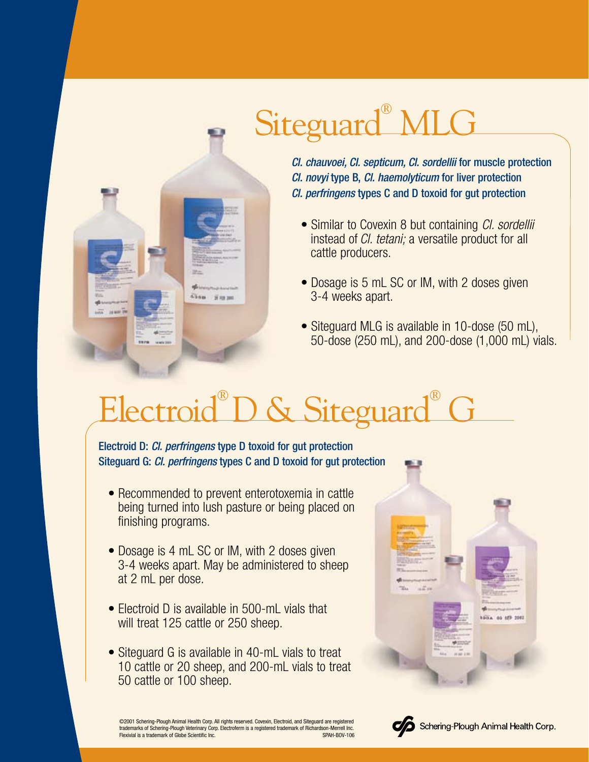

## Siteguard<sup>®</sup> MLG

*Cl. chauvoei, Cl. septicum, Cl. sordellii* for muscle protection *Cl. novyi* type B, *Cl. haemolyticum* for liver protection *Cl. perfringens* types C and D toxoid for gut protection

- Similar to Covexin 8 but containing *Cl. sordellii* instead of *Cl. tetani;* a versatile product for all cattle producers.
- Dosage is 5 mL SC or IM, with 2 doses given 3-4 weeks apart.
- Siteguard MLG is available in 10-dose (50 mL), 50-dose (250 mL), and 200-dose (1,000 mL) vials.

## Electroid® D & Siteguard® G

Electroid D: *Cl. perfringens* type D toxoid for gut protection Siteguard G: *Cl. perfringens* types C and D toxoid for gut protection

- Recommended to prevent enterotoxemia in cattle being turned into lush pasture or being placed on finishing programs.
- Dosage is 4 mL SC or IM, with 2 doses given 3-4 weeks apart. May be administered to sheep at 2 mL per dose.
- Electroid D is available in 500-mL vials that will treat 125 cattle or 250 sheep.
- Siteguard G is available in 40-mL vials to treat 10 cattle or 20 sheep, and 200-mL vials to treat 50 cattle or 100 sheep.





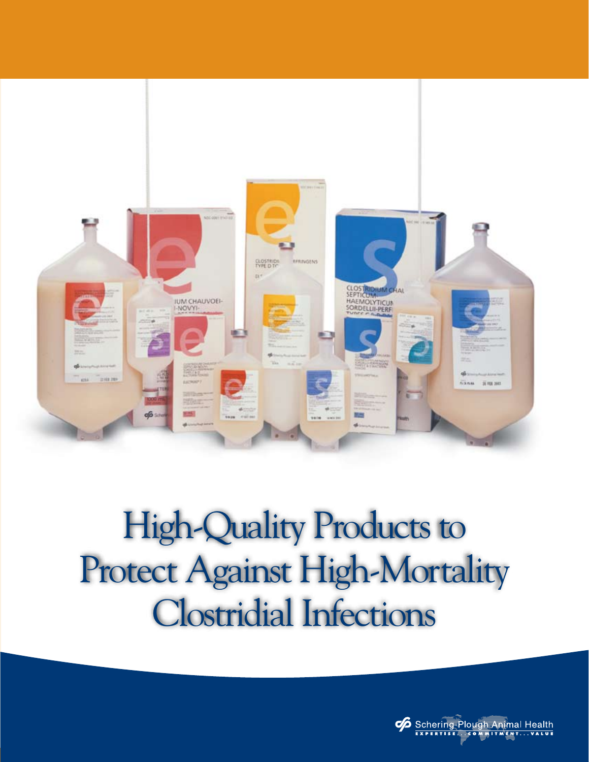

## High-Quality Products to Protect Against High-Mortality Clostridial Infections

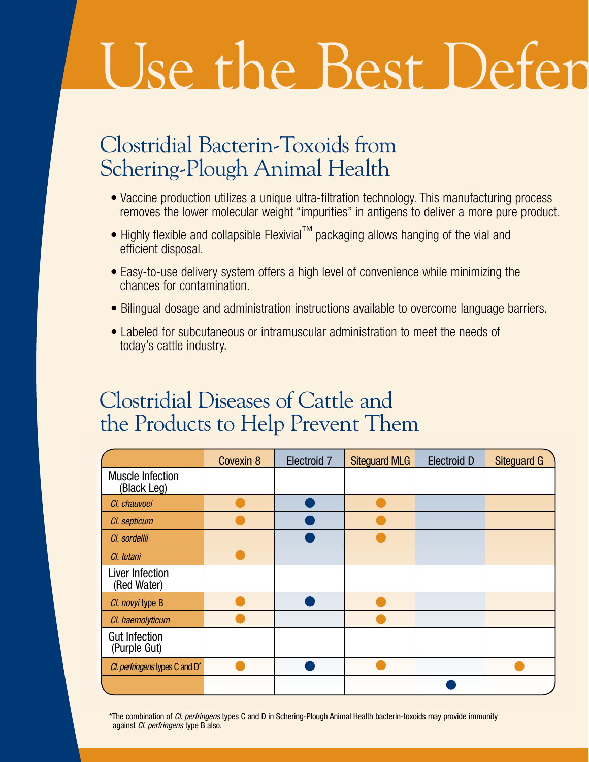# Use the Best Defen

#### Clostridial Bacterin-Toxoids from Schering-Plough Animal Health

- Vaccine production utilizes a unique ultra-filtration technology. This manufacturing process removes the lower molecular weight "impurities" in antigens to deliver a more pure product.
- Highly flexible and collapsible Flexivial™ packaging allows hanging of the vial and efficient disposal.
- Easy-to-use delivery system offers a high level of convenience while minimizing the chances for contamination.
- Bilingual dosage and administration instructions available to overcome language barriers.
- Labeled for subcutaneous or intramuscular administration to meet the needs of today's cattle industry.

#### Clostridial Diseases of Cattle and the Products to Help Prevent Them

|                                            | Covexin 8 | Electroid 7 | <b>Siteguard MLG</b> | <b>Electroid D</b> | <b>Siteguard G</b> |
|--------------------------------------------|-----------|-------------|----------------------|--------------------|--------------------|
| <b>Muscle Infection</b><br>(Black Leg)     |           |             |                      |                    |                    |
| Cl. chauvoei                               |           |             |                      |                    |                    |
| Cl. septicum                               |           |             |                      |                    |                    |
| Cl. sordellii                              |           |             |                      |                    |                    |
| Cl. tetani                                 |           |             |                      |                    |                    |
| Liver Infection<br>(Red Water)             |           |             |                      |                    |                    |
| Cl. novyi type B                           |           |             |                      |                    |                    |
| Cl. haemolyticum                           |           |             |                      |                    |                    |
| <b>Gut Infection</b><br>(Purple Gut)       |           |             |                      |                    |                    |
| Cl. perfringens types C and D <sup>*</sup> |           |             |                      |                    |                    |
|                                            |           |             |                      |                    |                    |

\*The combination of *Cl. perfringens* types C and D in Schering-Plough Animal Health bacterin-toxoids may provide immunity against *Cl. perfringens* type B also.